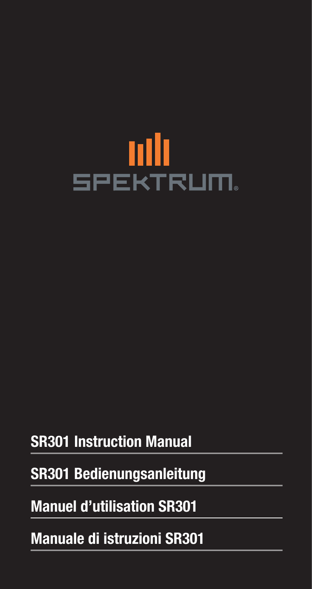# **ANI**<br>SPEKTRUM.

# **SR301 Instruction Manual**

# **SR301 Bedienungsanleitung**

# **Manuel d'utilisation SR301**

# **Manuale di istruzioni SR301**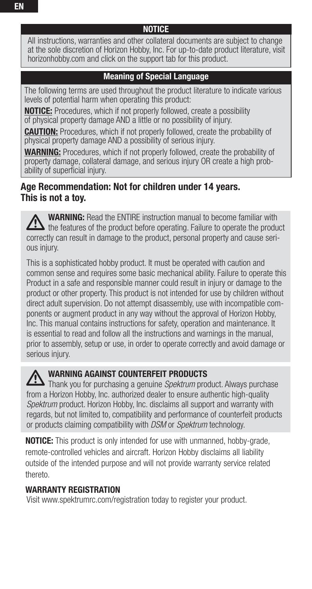All instructions, warranties and other collateral documents are subject to change at the sole discretion of Horizon Hobby, Inc. For up-to-date product literature, visit horizonhobby.com and click on the support tab for this product.

# **Meaning of Special Language**

The following terms are used throughout the product literature to indicate various levels of potential harm when operating this product:

**NOTICE:** Procedures, which if not properly followed, create a possibility of physical property damage AND a little or no possibility of injury.

**CAUTION:** Procedures, which if not properly followed, create the probability of physical property damage AND a possibility of serious injury.

WARNING: Procedures, which if not properly followed, create the probability of property damage, collateral damage, and serious injury OR create a high probability of superficial injury.

# **Age Recommendation: Not for children under 14 years. This is not a toy.**

**WARNING:** Read the ENTIRE instruction manual to become familiar with the features of the product before operating. Failure to operate the product correctly can result in damage to the product, personal property and cause serious injury.

This is a sophisticated hobby product. It must be operated with caution and common sense and requires some basic mechanical ability. Failure to operate this Product in a safe and responsible manner could result in injury or damage to the product or other property. This product is not intended for use by children without direct adult supervision. Do not attempt disassembly, use with incompatible components or augment product in any way without the approval of Horizon Hobby, Inc. This manual contains instructions for safety, operation and maintenance. It is essential to read and follow all the instructions and warnings in the manual, prior to assembly, setup or use, in order to operate correctly and avoid damage or serious injury.

# **WARNING AGAINST COUNTERFEIT PRODUCTS**

Thank you for purchasing a genuine Spektrum product. Always purchase from a Horizon Hobby, Inc. authorized dealer to ensure authentic high-quality Spektrum product. Horizon Hobby, Inc. disclaims all support and warranty with regards, but not limited to, compatibility and performance of counterfeit products or products claiming compatibility with DSM or Spektrum technology.

**NOTICE:** This product is only intended for use with unmanned, hobby-grade, remote-controlled vehicles and aircraft. Horizon Hobby disclaims all liability outside of the intended purpose and will not provide warranty service related thereto.

# **WARRANTY REGISTRATION**

Visit www.spektrumrc.com/registration today to register your product.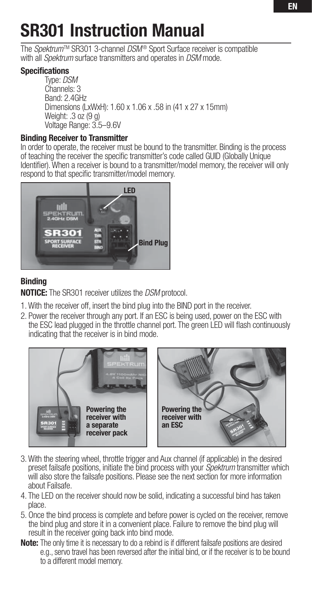# **SR301 Instruction Manual**

The Spektrum<sup>TM</sup> SR301 3-channel DSM<sup>®</sup> Sport Surface receiver is compatible with all *Spektrum* surface transmitters and operates in DSM mode.

# **Specifications**

 Type: DSM Channels: 3 Band: 2.4GHz Dimensions (LxWxH): 1.60 x 1.06 x .58 in (41 x 27 x 15mm) Weight: .3 oz (9 g) Voltage Range: 3.5–9.6V

# **Binding Receiver to Transmitter**

In order to operate, the receiver must be bound to the transmitter. Binding is the process of teaching the receiver the specific transmitter's code called GUID (Globally Unique Identifier). When a receiver is bound to a transmitter/model memory, the receiver will only respond to that specific transmitter/model memory.



# **Binding**

**NOTICE:** The SR301 receiver utilizes the DSM protocol.

- 1. With the receiver off, insert the bind plug into the BIND port in the receiver.
- 2. Power the receiver through any port. If an ESC is being used, power on the ESC with the ESC lead plugged in the throttle channel port. The green LED will flash continuously indicating that the receiver is in bind mode.



- 3. With the steering wheel, throttle trigger and Aux channel (if applicable) in the desired preset failsafe positions, initiate the bind process with your Spektrum transmitter which will also store the failsafe positions. Please see the next section for more information about Failsafe.
- 4. The LED on the receiver should now be solid, indicating a successful bind has taken place.
- 5. Once the bind process is complete and before power is cycled on the receiver, remove the bind plug and store it in a convenient place. Failure to remove the bind plug will result in the receiver going back into bind mode.
- **Note:** The only time it is necessary to do a rebind is if different failsafe positions are desired e.g., servo travel has been reversed after the initial bind, or if the receiver is to be bound to a different model memory.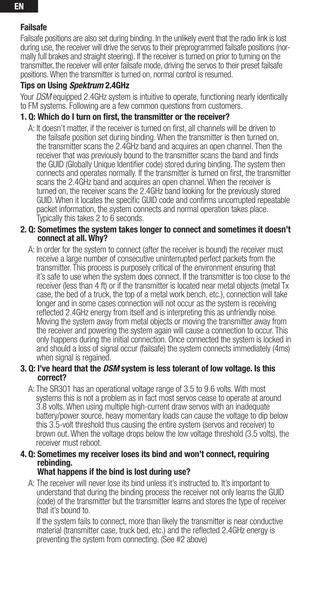# **Failsafe**

Failsafe positions are also set during binding. In the unlikely event that the radio link is lost during use, the receiver will drive the servos to their preprogrammed failsafe positions (normally full brakes and straight steering). If the receiver is turned on prior to turning on the transmitter, the receiver will enter failsafe mode, driving the servos to their preset failsafe positions. When the transmitter is turned on, normal control is resumed.

# **Tips on Using** *Spektrum* **2.4GHz**

Your *DSM* equipped 2.4GHz system is intuitive to operate, functioning nearly identically to FM systems. Following are a few common questions from customers.

# **1. Q: Which do I turn on first, the transmitter or the receiver?**

A: It doesn't matter, if the receiver is turned on first, all channels will be driven to the failsafe position set during binding. When the transmitter is then turned on, the transmitter scans the 2.4GHz band and acquires an open channel. Then the receiver that was previously bound to the transmitter scans the band and finds the GUID (Globally Unique Identifier code) stored during binding. The system then connects and operates normally. If the transmitter is turned on first, the transmitter scans the 2.4GHz band and acquires an open channel. When the receiver is turned on, the receiver scans the 2.4GHz band looking for the previously stored GUID. When it locates the specific GUID code and confirms uncorrupted repeatable packet information, the system connects and normal operation takes place. Typically this takes 2 to 6 seconds.

### **2. Q: Sometimes the system takes longer to connect and sometimes it doesn't connect at all. Why?**

 A: In order for the system to connect (after the receiver is bound) the receiver must receive a large number of consecutive uninterrupted perfect packets from the transmitter. This process is purposely critical of the environment ensuring that it's safe to use when the system does connect. If the transmitter is too close to the receiver (less than 4 ft) or if the transmitter is located near metal objects (metal Tx case, the bed of a truck, the top of a metal work bench, etc.), connection will take longer and in some cases connection will not occur as the system is receiving reflected 2.4GHz energy from itself and is interpreting this as unfriendly noise. Moving the system away from metal objects or moving the transmitter away from the receiver and powering the system again will cause a connection to occur. This only happens during the initial connection. Once connected the system is locked in and should a loss of signal occur (failsafe) the system connects immediately (4ms) when signal is regained.

### **3. Q: I've heard that the** *DSM* **system is less tolerant of low voltage. Is this correct?**

 A: The SR301 has an operational voltage range of 3.5 to 9.6 volts. With most systems this is not a problem as in fact most servos cease to operate at around 3.8 volts. When using multiple high-current draw servos with an inadequate battery/power source, heavy momentary loads can cause the voltage to dip below this 3.5-volt threshold thus causing the entire system (servos and receiver) to brown out. When the voltage drops below the low voltage threshold (3.5 volts), the receiver must reboot.

## **4. Q: Sometimes my receiver loses its bind and won't connect, requiring rebinding.**

# **What happens if the bind is lost during use?**

 A: The receiver will never lose its bind unless it's instructed to. It's important to understand that during the binding process the receiver not only learns the GUID (code) of the transmitter but the transmitter learns and stores the type of receiver that it's bound to.

 If the system fails to connect, more than likely the transmitter is near conductive material (transmitter case, truck bed, etc.) and the reflected 2.4GHz energy is preventing the system from connecting. (See #2 above)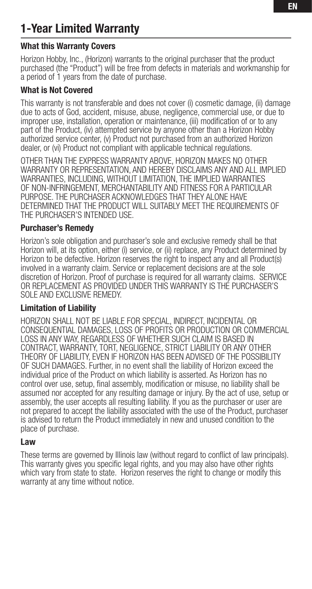# **1-Year Limited Warranty**

# **What this Warranty Covers**

Horizon Hobby, Inc., (Horizon) warrants to the original purchaser that the product purchased (the "Product") will be free from defects in materials and workmanship for a period of 1 years from the date of purchase.

# **What is Not Covered**

This warranty is not transferable and does not cover (i) cosmetic damage, (ii) damage due to acts of God, accident, misuse, abuse, negligence, commercial use, or due to improper use, installation, operation or maintenance, (iii) modification of or to any part of the Product, (iv) attempted service by anyone other than a Horizon Hobby authorized service center, (v) Product not purchased from an authorized Horizon dealer, or (vi) Product not compliant with applicable technical regulations.

OTHER THAN THE EXPRESS WARRANTY ABOVE, HORIZON MAKES NO OTHER WARRANTY OR REPRESENTATION, AND HEREBY DISCLAIMS ANY AND ALL IMPLIED WARRANTIES, INCLUDING, WITHOUT LIMITATION, THE IMPLIED WARRANTIES OF NON-INFRINGEMENT, MERCHANTABILITY AND FITNESS FOR A PARTICULAR PURPOSE. THE PURCHASER ACKNOWLEDGES THAT THEY ALONE HAVE DETERMINED THAT THE PRODUCT WILL SUITABLY MEET THE REQUIREMENTS OF THE PURCHASER'S INTENDED USE.

# **Purchaser's Remedy**

Horizon's sole obligation and purchaser's sole and exclusive remedy shall be that Horizon will, at its option, either (i) service, or (ii) replace, any Product determined by Horizon to be defective. Horizon reserves the right to inspect any and all Product(s) involved in a warranty claim. Service or replacement decisions are at the sole discretion of Horizon. Proof of purchase is required for all warranty claims. SERVICE OR REPLACEMENT AS PROVIDED UNDER THIS WARRANTY IS THE PURCHASER'S SOLE AND EXCLUSIVE REMEDY.

# **Limitation of Liability**

HORIZON SHALL NOT BE LIABLE FOR SPECIAL, INDIRECT, INCIDENTAL OR CONSEQUENTIAL DAMAGES, LOSS OF PROFITS OR PRODUCTION OR COMMERCIAL LOSS IN ANY WAY, REGARDLESS OF WHETHER SUCH CLAIM IS BASED IN CONTRACT, WARRANTY, TORT, NEGLIGENCE, STRICT LIABILITY OR ANY OTHER THEORY OF LIABILITY, EVEN IF HORIZON HAS BEEN ADVISED OF THE POSSIBILITY OF SUCH DAMAGES. Further, in no event shall the liability of Horizon exceed the individual price of the Product on which liability is asserted. As Horizon has no control over use, setup, final assembly, modification or misuse, no liability shall be assumed nor accepted for any resulting damage or injury. By the act of use, setup or assembly, the user accepts all resulting liability. If you as the purchaser or user are not prepared to accept the liability associated with the use of the Product, purchaser is advised to return the Product immediately in new and unused condition to the place of purchase.

# **Law**

These terms are governed by Illinois law (without regard to conflict of law principals). This warranty gives you specific legal rights, and you may also have other rights which vary from state to state. Horizon reserves the right to change or modify this warranty at any time without notice.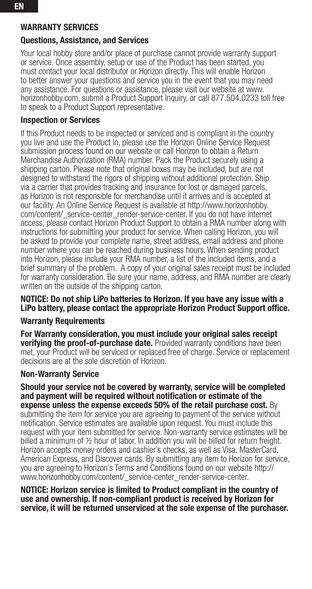# **Questions, Assistance, and Services**

Your local hobby store and/or place of purchase cannot provide warranty support or service. Once assembly, setup or use of the Product has been started, you must contact your local distributor or Horizon directly. This will enable Horizon to better answer your questions and service you in the event that you may need any assistance. For questions or assistance, please visit our website at www. horizonhobby.com, submit a Product Support Inquiry, or call 877.504.0233 toll free to speak to a Product Support representative.

# **Inspection or Services**

If this Product needs to be inspected or serviced and is compliant in the country you live and use the Product in, please use the Horizon Online Service Request submission process found on our website or call Horizon to obtain a Return Merchandise Authorization (RMA) number. Pack the Product securely using a shipping carton. Please note that original boxes may be included, but are not designed to withstand the rigors of shipping without additional protection. Ship via a carrier that provides tracking and insurance for lost or damaged parcels, as Horizon is not responsible for merchandise until it arrives and is accepted at our facility. An Online Service Request is available at http://www.horizonhobby. com/content/\_service-center\_render-service-center. If you do not have internet access, please contact Horizon Product Support to obtain a RMA number along with instructions for submitting your product for service. When calling Horizon, you will be asked to provide your complete name, street address, email address and phone number where you can be reached during business hours. When sending product into Horizon, please include your RMA number, a list of the included items, and a brief summary of the problem. A copy of your original sales receipt must be included for warranty consideration. Be sure your name, address, and RMA number are clearly written on the outside of the shipping carton.

### **NOTICE: Do not ship LiPo batteries to Horizon. If you have any issue with a**  LiPo battery, please contact the appropriate Horizon Product Support office.

# **Warranty Requirements**

**For Warranty consideration, you must include your original sales receipt verifying the proof-of-purchase date.** Provided warranty conditions have been met, your Product will be serviced or replaced free of charge. Service or replacement decisions are at the sole discretion of Horizon.

### **Non-Warranty Service**

**Should your service not be covered by warranty, service will be completed**  and payment will be required without notification or estimate of the **expense unless the expense exceeds 50% of the retail purchase cost.** By submitting the item for service you are agreeing to payment of the service without notification. Service estimates are available upon request. You must include this request with your item submitted for service. Non-warranty service estimates will be billed a minimum of ½ hour of labor. In addition you will be billed for return freight. Horizon accepts money orders and cashier's checks, as well as Visa, MasterCard, American Express, and Discover cards. By submitting any item to Horizon for service, you are agreeing to Horizon's Terms and Conditions found on our website http:// www.horizonhobby.com/content/\_service-center\_render-service-center.

**NOTICE: Horizon service is limited to Product compliant in the country of use and ownership. If non-compliant product is received by Horizon for service, it will be returned unserviced at the sole expense of the purchaser.**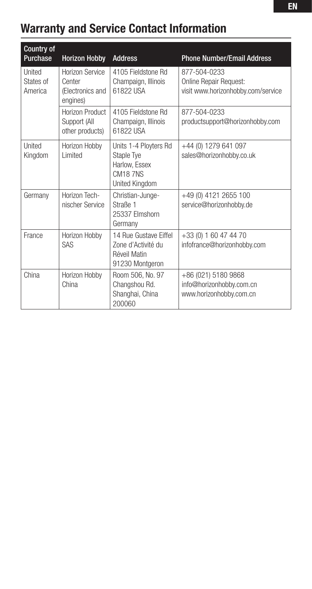# **Warranty and Service Contact Information**

| <b>Country of</b><br>Purchase  | <b>Horizon Hobby</b>                                      | <b>Address</b>                                                                    | <b>Phone Number/Email Address</b>                                            |
|--------------------------------|-----------------------------------------------------------|-----------------------------------------------------------------------------------|------------------------------------------------------------------------------|
| United<br>States of<br>America | Horizon Service<br>Center<br>(Electronics and<br>engines) | 4105 Fieldstone Rd<br>Champaign, Illinois<br>61822 USA                            | 877-504-0233<br>Online Repair Request:<br>visit www.horizonhobby.com/service |
|                                | Horizon Product<br>Support (All<br>other products)        | 4105 Fieldstone Rd<br>Champaign, Illinois<br>61822 USA                            | 877-504-0233<br>productsupport@horizonhobby.com                              |
| United<br>Kingdom              | Horizon Hobby<br>I imited                                 | Units 1-4 Ployters Rd<br>Staple Tye<br>Harlow, Essex<br>CM187NS<br>United Kingdom | +44 (0) 1279 641 097<br>sales@horizonhobby.co.uk                             |
| Germany                        | Horizon Tech-<br>nischer Service                          | Christian-Junge-<br>Straße 1<br>25337 Flmshorn<br>Germany                         | +49 (0) 4121 2655 100<br>service@horizonhobby.de                             |
| France                         | Horizon Hobby<br>SAS                                      | 14 Rue Gustave Fiffel<br>Zone d'Activité du<br>Réveil Matin<br>91230 Montaeron    | +33 (0) 1 60 47 44 70<br>infofrance@horizonhobby.com                         |
| China                          | Horizon Hobby<br>China                                    | Room 506, No. 97<br>Changshou Rd.<br>Shanghai, China<br>200060                    | +86 (021) 5180 9868<br>info@horizonhobby.com.cn<br>www.horizonhobby.com.cn   |